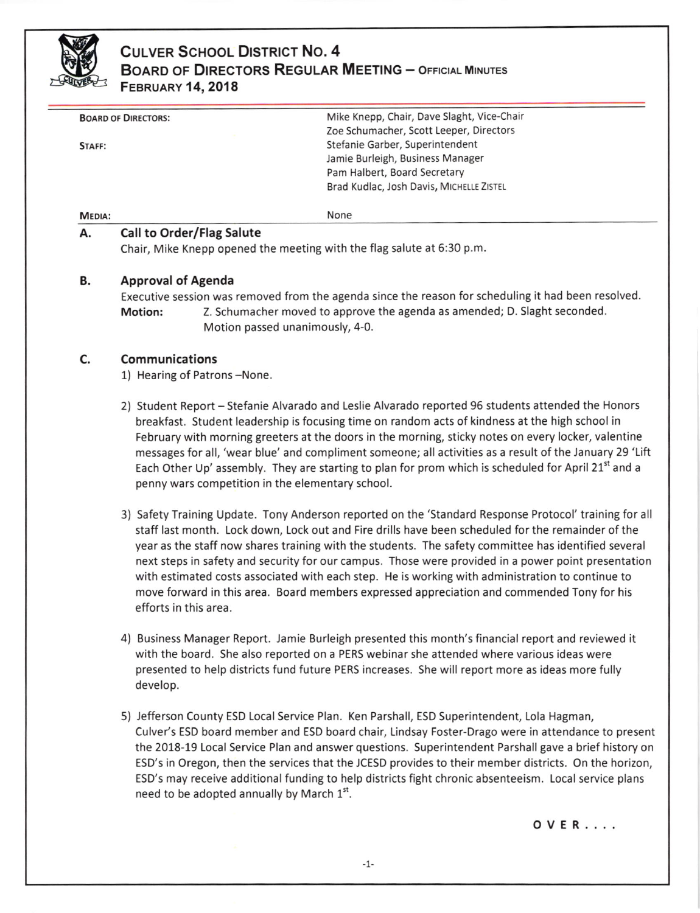

# CULVER SCHOOL DISTRICT NO. 4 BOARD OF DIRECTORS REGULAR MEETING - OFFICIAL MINUTES FEBRUARY 14,2018

| Mike Knepp, Chair, Dave Slaght, Vice-Chair            |
|-------------------------------------------------------|
| Zoe Schumacher, Scott Leeper, Directors               |
| Stefanie Garber, Superintendent                       |
| Jamie Burleigh, Business Manager                      |
| Pam Halbert, Board Secretary                          |
| Brad Kudlac, Josh Davis, MICHELLE ZISTEL              |
|                                                       |
| None                                                  |
| <b>BOARD OF DIRECTORS:</b><br>STAFF:<br><b>MEDIA:</b> |

### A. Call to Order/Flag Salute

Chair, Mike Knepp opened the meeting with the flag salute at 5:30 p.m.

#### B. Approval of Agenda

Executive session was removed from the agenda since the reason for scheduling it had been resolved. Motion: Z. Schumacher moved to approve the agenda as amended; D. Slaght seconded. Motion passed unanimously, 4-0.

### Communications c.

1) Hearing of Patrons-None.

- 2) Student Report Stefanie Alvarado and Leslie Alvarado reported 96 students attended the Honors breakfast. Student leadership is focusing time on random acts of kindness at the high school in February with morning greeters at the doors in the morning, sticky notes on every locker, valentine messages for all, 'wear blue' and compliment someone; all activities as a result of the January 29 'Lift Each Other Up' assembly. They are starting to plan for prom which is scheduled for April 21<sup>st</sup> and a penny wars competition in the elementary school.
- 3) Safety Training Update. Tony Anderson reported on the 'Standard Response Protocol' training for all staff last month. Lock down, Lock out and Fire drills have been scheduled for the remainder of the year as the staff now shares training with the students. The safety committee has identified several next steps in safety and security for our campus. Those were provided in a power point presentation with estimated costs associated with each step. He is working with administration to continue to move forward in this area. Board members expressed appreciation and commended Tony for his efforts in this area.
- 4) Business Manager Report. Jamie Burleigh presented this month's financial report and reviewed it with the board. She also reported on a PERS webinar she attended where various ideas were presented to help districts fund future PERS increases. She will report more as ideas more fully develop.
- 5) Jefferson County ESD Local Service Plan. Ken Parshall, ESD Superintendent, Lola Hagman, Culver's ESD board member and ESD board chair, Lindsay Foster-Drago were in attendance to present the 2018-19 Local Service Plan and answer questions. Superintendent Parshall gave a brief history on ESD'5 in Oregon, then the services that the JCESD provides to their member districts. On the horizon, ESD'5 may receive additional funding to help districts fight chronic absenteeism. Local service plans need to be adopted annually by March  $1<sup>st</sup>$ .

OVER....